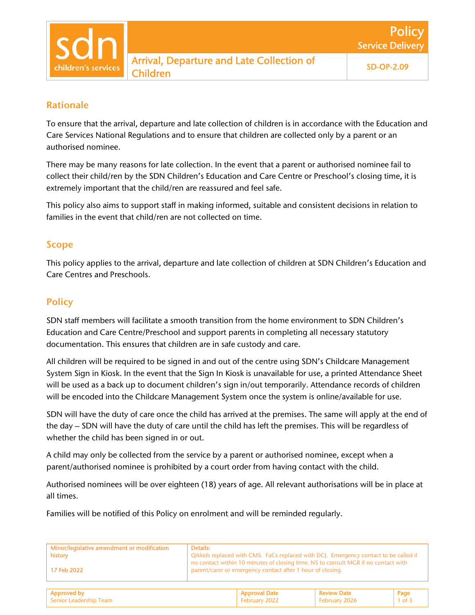## Rationale

To ensure that the arrival, departure and late collection of children is in accordance with the Education and Care Services National Regulations and to ensure that children are collected only by a parent or an authorised nominee.

There may be many reasons for late collection. In the event that a parent or authorised nominee fail to collect their child/ren by the SDN Children's Education and Care Centre or Preschool's closing time, it is extremely important that the child/ren are reassured and feel safe.

This policy also aims to support staff in making informed, suitable and consistent decisions in relation to families in the event that child/ren are not collected on time.

### Scope

This policy applies to the arrival, departure and late collection of children at SDN Children's Education and Care Centres and Preschools.

### **Policy**

SDN staff members will facilitate a smooth transition from the home environment to SDN Children's Education and Care Centre/Preschool and support parents in completing all necessary statutory documentation. This ensures that children are in safe custody and care.

All children will be required to be signed in and out of the centre using SDN's Childcare Management System Sign in Kiosk. In the event that the Sign In Kiosk is unavailable for use, a printed Attendance Sheet will be used as a back up to document children's sign in/out temporarily. Attendance records of children will be encoded into the Childcare Management System once the system is online/available for use.

SDN will have the duty of care once the child has arrived at the premises. The same will apply at the end of the day – SDN will have the duty of care until the child has left the premises. This will be regardless of whether the child has been signed in or out.

A child may only be collected from the service by a parent or authorised nominee, except when a parent/authorised nominee is prohibited by a court order from having contact with the child.

Authorised nominees will be over eighteen (18) years of age. All relevant authorisations will be in place at all times.

Families will be notified of this Policy on enrolment and will be reminded regularly.

| Minor/legislative amendment or modification<br>history | Details:<br>Qikkids replaced with CMS. FaCs replaced with DCJ. Emergency contact to be called if<br>no contact within 10 minutes of closing time. NS to consult MGR if no contact with |
|--------------------------------------------------------|----------------------------------------------------------------------------------------------------------------------------------------------------------------------------------------|
| 17 Feb 2022                                            | parent/carer or emergency contact after 1 hour of closing.                                                                                                                             |
|                                                        |                                                                                                                                                                                        |

| $^{\circ}$ approved by | Approval Date | leview Date   |  |
|------------------------|---------------|---------------|--|
| Senior Leadership Team | February 2022 | February 2026 |  |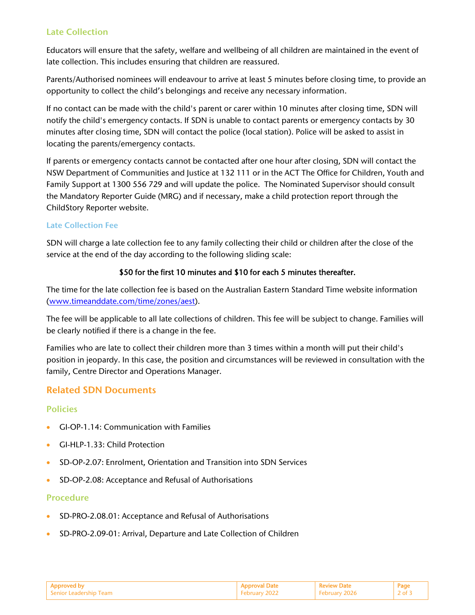### Late Collection

Educators will ensure that the safety, welfare and wellbeing of all children are maintained in the event of late collection. This includes ensuring that children are reassured.

Parents/Authorised nominees will endeavour to arrive at least 5 minutes before closing time, to provide an opportunity to collect the child's belongings and receive any necessary information.

If no contact can be made with the child's parent or carer within 10 minutes after closing time, SDN will notify the child's emergency contacts. If SDN is unable to contact parents or emergency contacts by 30 minutes after closing time, SDN will contact the police (local station). Police will be asked to assist in locating the parents/emergency contacts.

If parents or emergency contacts cannot be contacted after one hour after closing, SDN will contact the NSW Department of Communities and Justice at 132 111 or in the ACT The Office for Children, Youth and Family Support at 1300 556 729 and will update the police. The Nominated Supervisor should consult the Mandatory Reporter Guide (MRG) and if necessary, make a child protection report through the ChildStory Reporter website.

#### Late Collection Fee

SDN will charge a late collection fee to any family collecting their child or children after the close of the service at the end of the day according to the following sliding scale:

### \$50 for the first 10 minutes and \$10 for each 5 minutes thereafter.

The time for the late collection fee is based on the Australian Eastern Standard Time website information (www.timeanddate.com/time/zones/aest).

The fee will be applicable to all late collections of children. This fee will be subject to change. Families will be clearly notified if there is a change in the fee.

Families who are late to collect their children more than 3 times within a month will put their child's position in jeopardy. In this case, the position and circumstances will be reviewed in consultation with the family, Centre Director and Operations Manager.

# Related SDN Documents

### **Policies**

- GI-OP-1.14: Communication with Families
- GI-HLP-1.33: Child Protection
- SD-OP-2.07: Enrolment, Orientation and Transition into SDN Services
- SD-OP-2.08: Acceptance and Refusal of Authorisations

#### Procedure

- SD-PRO-2.08.01: Acceptance and Refusal of Authorisations
- SD-PRO-2.09-01: Arrival, Departure and Late Collection of Children

| l Abbroved by            | Annroval Date. | eview Date | Рао |
|--------------------------|----------------|------------|-----|
| Containt Leadership Team | Ahruary 2022   |            |     |